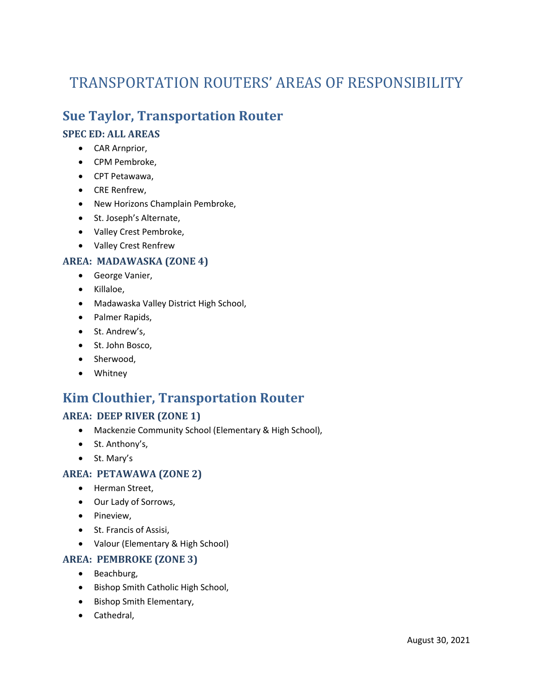# TRANSPORTATION ROUTERS' AREAS OF RESPONSIBILITY

### **Sue Taylor, Transportation Router**

#### **SPEC ED: ALL AREAS**

- CAR Arnprior,
- CPM Pembroke,
- CPT Petawawa,
- CRE Renfrew,
- New Horizons Champlain Pembroke,
- St. Joseph's Alternate,
- Valley Crest Pembroke,
- Valley Crest Renfrew

#### **AREA: MADAWASKA (ZONE 4)**

- George Vanier,
- Killaloe,
- Madawaska Valley District High School,
- Palmer Rapids,
- St. Andrew's,
- St. John Bosco,
- Sherwood,
- Whitney

### **Kim Clouthier, Transportation Router**

#### **AREA: DEEP RIVER (ZONE 1)**

- Mackenzie Community School (Elementary & High School),
- St. Anthony's,
- St. Mary's

#### **AREA: PETAWAWA (ZONE 2)**

- Herman Street,
- Our Lady of Sorrows,
- Pineview,
- St. Francis of Assisi,
- Valour (Elementary & High School)

#### **AREA: PEMBROKE (ZONE 3)**

- Beachburg,
- Bishop Smith Catholic High School,
- Bishop Smith Elementary,
- Cathedral,